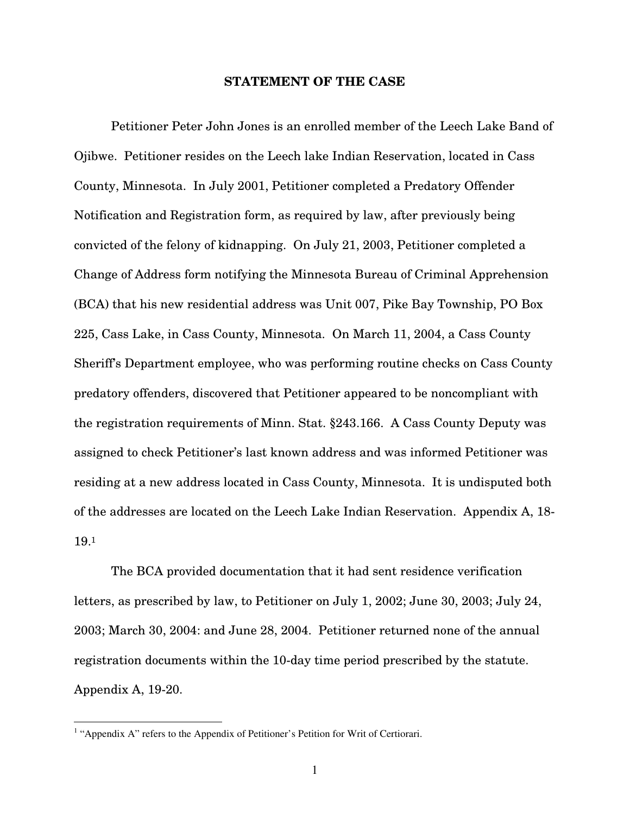#### **STATEMENT OF THE CASE**

Petitioner Peter John Jones is an enrolled member of the Leech Lake Band of Ojibwe. Petitioner resides on the Leech lake Indian Reservation, located in Cass County, Minnesota. In July 2001, Petitioner completed a Predatory Offender Notification and Registration form, as required by law, after previously being convicted of the felony of kidnapping. On July 21, 2003, Petitioner completed a Change of Address form notifying the Minnesota Bureau of Criminal Apprehension (BCA) that his new residential address was Unit 007, Pike Bay Township, PO Box 225, Cass Lake, in Cass County, Minnesota. On March 11, 2004, a Cass County Sheriff's Department employee, who was performing routine checks on Cass County predatory offenders, discovered that Petitioner appeared to be noncompliant with the registration requirements of Minn. Stat. §243.166. A Cass County Deputy was assigned to check Petitioner's last known address and was informed Petitioner was residing at a new address located in Cass County, Minnesota. It is undisputed both of the addresses are located on the Leech Lake Indian Reservation. Appendix A, 18- 19. 1

The BCA provided documentation that it had sent residence verification letters, as prescribed by law, to Petitioner on July 1, 2002; June 30, 2003; July 24, 2003; March 30, 2004: and June 28, 2004. Petitioner returned none of the annual registration documents within the 10-day time period prescribed by the statute. Appendix A, 19-20.

<sup>&</sup>lt;sup>1</sup> "Appendix A" refers to the Appendix of Petitioner's Petition for Writ of Certiorari.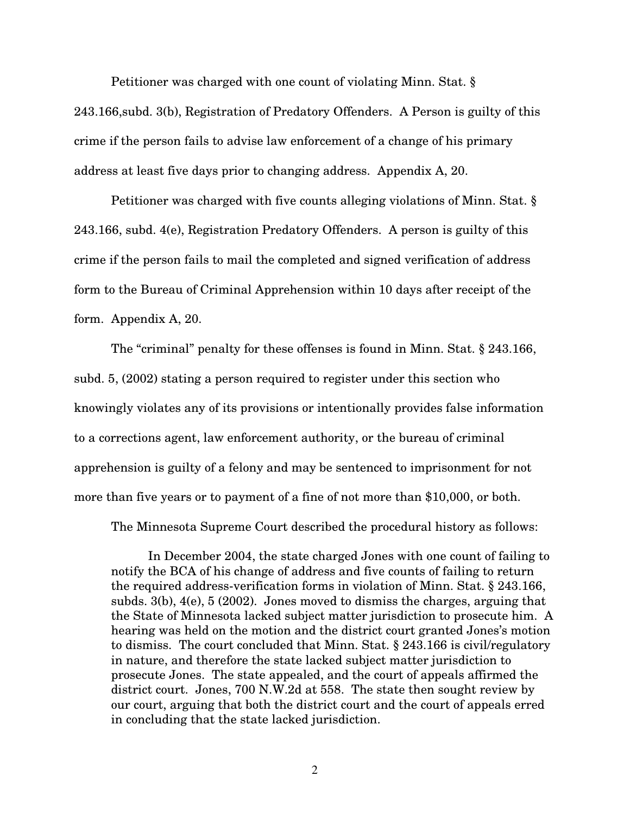Petitioner was charged with one count of violating Minn. Stat. § 243.166,subd. 3(b), Registration of Predatory Offenders. A Person is guilty of this crime if the person fails to advise law enforcement of a change of his primary address at least five days prior to changing address. Appendix A, 20.

Petitioner was charged with five counts alleging violations of Minn. Stat. § 243.166, subd. 4(e), Registration Predatory Offenders. A person is guilty of this crime if the person fails to mail the completed and signed verification of address form to the Bureau of Criminal Apprehension within 10 days after receipt of the form. Appendix A, 20.

The "criminal" penalty for these offenses is found in Minn. Stat. § 243.166, subd. 5, (2002) stating a person required to register under this section who knowingly violates any of its provisions or intentionally provides false information to a corrections agent, law enforcement authority, or the bureau of criminal apprehension is guilty of a felony and may be sentenced to imprisonment for not more than five years or to payment of a fine of not more than \$10,000, or both.

The Minnesota Supreme Court described the procedural history as follows:

In December 2004, the state charged Jones with one count of failing to notify the BCA of his change of address and five counts of failing to return the required address-verification forms in violation of Minn. Stat. § 243.166, subds. 3(b), 4(e), 5 (2002). Jones moved to dismiss the charges, arguing that the State of Minnesota lacked subject matter jurisdiction to prosecute him. A hearing was held on the motion and the district court granted Jones's motion to dismiss. The court concluded that Minn. Stat. § 243.166 is civil/regulatory in nature, and therefore the state lacked subject matter jurisdiction to prosecute Jones. The state appealed, and the court of appeals affirmed the district court. Jones, 700 N.W.2d at 558. The state then sought review by our court, arguing that both the district court and the court of appeals erred in concluding that the state lacked jurisdiction.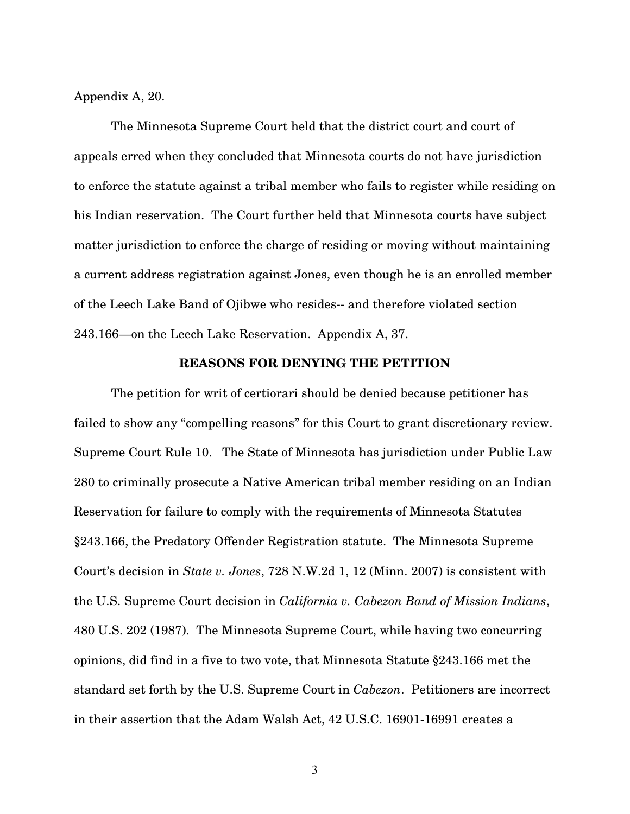Appendix A, 20.

The Minnesota Supreme Court held that the district court and court of appeals erred when they concluded that Minnesota courts do not have jurisdiction to enforce the statute against a tribal member who fails to register while residing on his Indian reservation. The Court further held that Minnesota courts have subject matter jurisdiction to enforce the charge of residing or moving without maintaining a current address registration against Jones, even though he is an enrolled member of the Leech Lake Band of Ojibwe who resides-- and therefore violated section 243.166—on the Leech Lake Reservation. Appendix A, 37.

#### **REASONS FOR DENYING THE PETITION**

The petition for writ of certiorari should be denied because petitioner has failed to show any "compelling reasons" for this Court to grant discretionary review. Supreme Court Rule 10. The State of Minnesota has jurisdiction under Public Law 280 to criminally prosecute a Native American tribal member residing on an Indian Reservation for failure to comply with the requirements of Minnesota Statutes §243.166, the Predatory Offender Registration statute. The Minnesota Supreme Court's decision in *State v. Jones*, 728 N.W.2d 1, 12 (Minn. 2007) is consistent with the U.S. Supreme Court decision in *California v. Cabezon Band of Mission Indians*, 480 U.S. 202 (1987). The Minnesota Supreme Court, while having two concurring opinions, did find in a five to two vote, that Minnesota Statute §243.166 met the standard set forth by the U.S. Supreme Court in *Cabezon*. Petitioners are incorrect in their assertion that the Adam Walsh Act, 42 U.S.C. 16901-16991 creates a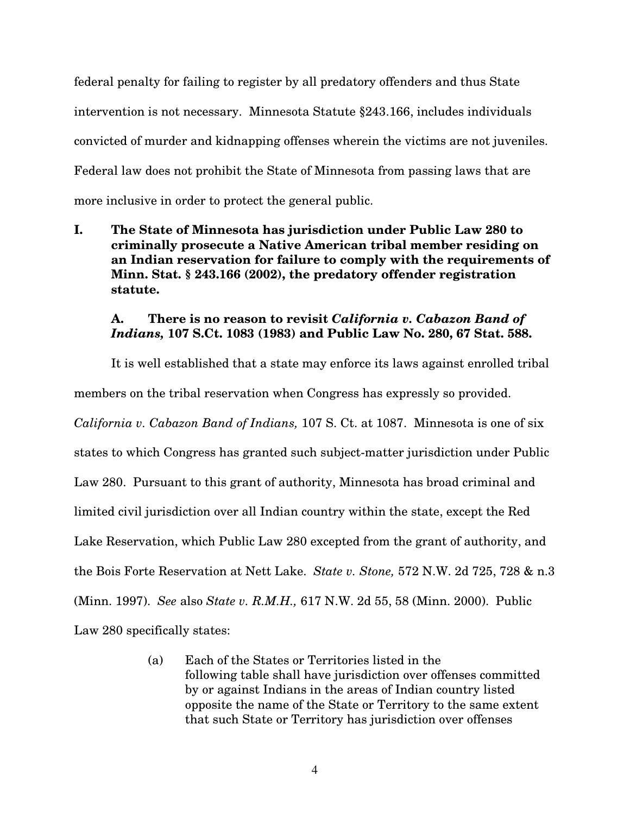federal penalty for failing to register by all predatory offenders and thus State intervention is not necessary. Minnesota Statute §243.166, includes individuals convicted of murder and kidnapping offenses wherein the victims are not juveniles. Federal law does not prohibit the State of Minnesota from passing laws that are more inclusive in order to protect the general public.

**I. The State of Minnesota has jurisdiction under Public Law 280 to criminally prosecute a Native American tribal member residing on an Indian reservation for failure to comply with the requirements of Minn. Stat. § 243.166 (2002), the predatory offender registration statute.**

## **A. There is no reason to revisit** *California v. Cabazon Band of Indians,* **107 S.Ct. 1083 (1983) and Public Law No. 280, 67 Stat. 588.**

It is well established that a state may enforce its laws against enrolled tribal members on the tribal reservation when Congress has expressly so provided. *California v. Cabazon Band of Indians,* 107 S. Ct. at 1087. Minnesota is one of six states to which Congress has granted such subject-matter jurisdiction under Public Law 280. Pursuant to this grant of authority, Minnesota has broad criminal and limited civil jurisdiction over all Indian country within the state, except the Red Lake Reservation, which Public Law 280 excepted from the grant of authority, and the Bois Forte Reservation at Nett Lake. *State v. Stone,* 572 N.W. 2d 725, 728 & n.3 (Minn. 1997). *See* also *State v. R.M.H.,* 617 N.W. 2d 55, 58 (Minn. 2000). Public Law 280 specifically states:

> (a) Each of the States or Territories listed in the following table shall have jurisdiction over offenses committed by or against Indians in the areas of Indian country listed opposite the name of the State or Territory to the same extent that such State or Territory has jurisdiction over offenses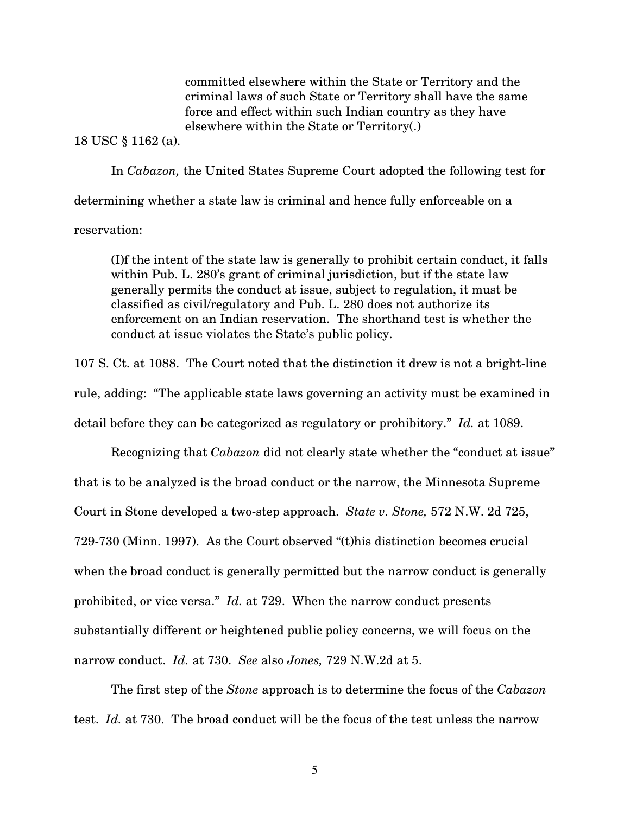committed elsewhere within the State or Territory and the criminal laws of such State or Territory shall have the same force and effect within such Indian country as they have elsewhere within the State or Territory(.)

18 USC § 1162 (a).

In *Cabazon,* the United States Supreme Court adopted the following test for determining whether a state law is criminal and hence fully enforceable on a reservation:

(I)f the intent of the state law is generally to prohibit certain conduct, it falls within Pub. L. 280's grant of criminal jurisdiction, but if the state law generally permits the conduct at issue, subject to regulation, it must be classified as civil/regulatory and Pub. L. 280 does not authorize its enforcement on an Indian reservation. The shorthand test is whether the conduct at issue violates the State's public policy.

107 S. Ct. at 1088. The Court noted that the distinction it drew is not a bright-line rule, adding: "The applicable state laws governing an activity must be examined in detail before they can be categorized as regulatory or prohibitory." *Id.* at 1089.

Recognizing that *Cabazon* did not clearly state whether the "conduct at issue" that is to be analyzed is the broad conduct or the narrow, the Minnesota Supreme Court in Stone developed a two-step approach. *State v. Stone,* 572 N.W. 2d 725, 729-730 (Minn. 1997). As the Court observed "(t)his distinction becomes crucial when the broad conduct is generally permitted but the narrow conduct is generally prohibited, or vice versa." *Id.* at 729. When the narrow conduct presents substantially different or heightened public policy concerns, we will focus on the narrow conduct. *Id.* at 730. *See* also *Jones,* 729 N.W.2d at 5.

The first step of the *Stone* approach is to determine the focus of the *Cabazon* test. *Id.* at 730. The broad conduct will be the focus of the test unless the narrow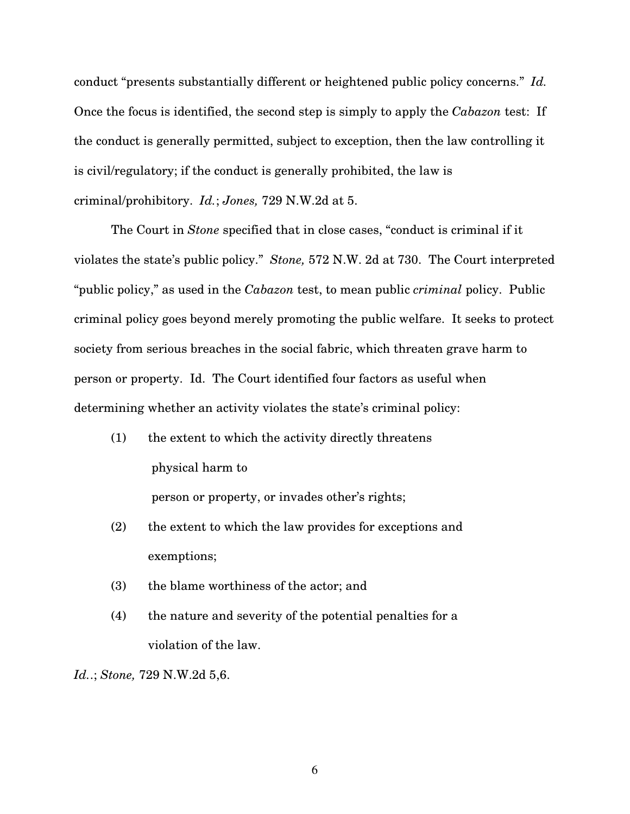conduct "presents substantially different or heightened public policy concerns." *Id.* Once the focus is identified, the second step is simply to apply the *Cabazon* test: If the conduct is generally permitted, subject to exception, then the law controlling it is civil/regulatory; if the conduct is generally prohibited, the law is criminal/prohibitory. *Id.*; *Jones,* 729 N.W.2d at 5.

The Court in *Stone* specified that in close cases, "conduct is criminal if it violates the state's public policy." *Stone,* 572 N.W. 2d at 730. The Court interpreted "public policy," as used in the *Cabazon* test, to mean public *criminal* policy. Public criminal policy goes beyond merely promoting the public welfare. It seeks to protect society from serious breaches in the social fabric, which threaten grave harm to person or property. Id. The Court identified four factors as useful when determining whether an activity violates the state's criminal policy:

- (1) the extent to which the activity directly threatens physical harm to person or property, or invades other's rights;
- (2) the extent to which the law provides for exceptions and exemptions;
- (3) the blame worthiness of the actor; and
- (4) the nature and severity of the potential penalties for a violation of the law.

*Id.*.; *Stone,* 729 N.W.2d 5,6.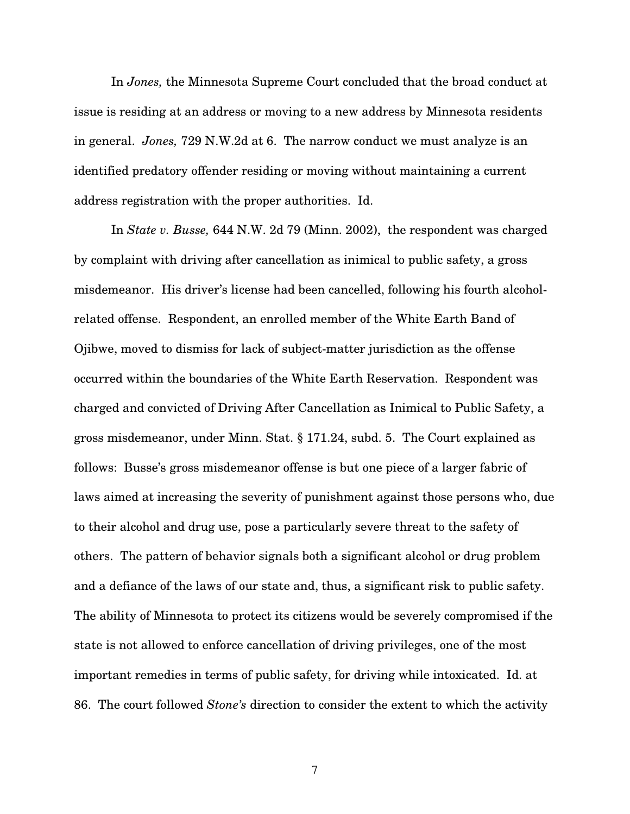In *Jones,* the Minnesota Supreme Court concluded that the broad conduct at issue is residing at an address or moving to a new address by Minnesota residents in general. *Jones,* 729 N.W.2d at 6. The narrow conduct we must analyze is an identified predatory offender residing or moving without maintaining a current address registration with the proper authorities. Id.

In *State v. Busse,* 644 N.W. 2d 79 (Minn. 2002), the respondent was charged by complaint with driving after cancellation as inimical to public safety, a gross misdemeanor. His driver's license had been cancelled, following his fourth alcoholrelated offense. Respondent, an enrolled member of the White Earth Band of Ojibwe, moved to dismiss for lack of subject-matter jurisdiction as the offense occurred within the boundaries of the White Earth Reservation. Respondent was charged and convicted of Driving After Cancellation as Inimical to Public Safety, a gross misdemeanor, under Minn. Stat. § 171.24, subd. 5. The Court explained as follows: Busse's gross misdemeanor offense is but one piece of a larger fabric of laws aimed at increasing the severity of punishment against those persons who, due to their alcohol and drug use, pose a particularly severe threat to the safety of others. The pattern of behavior signals both a significant alcohol or drug problem and a defiance of the laws of our state and, thus, a significant risk to public safety. The ability of Minnesota to protect its citizens would be severely compromised if the state is not allowed to enforce cancellation of driving privileges, one of the most important remedies in terms of public safety, for driving while intoxicated. Id. at 86. The court followed *Stone's* direction to consider the extent to which the activity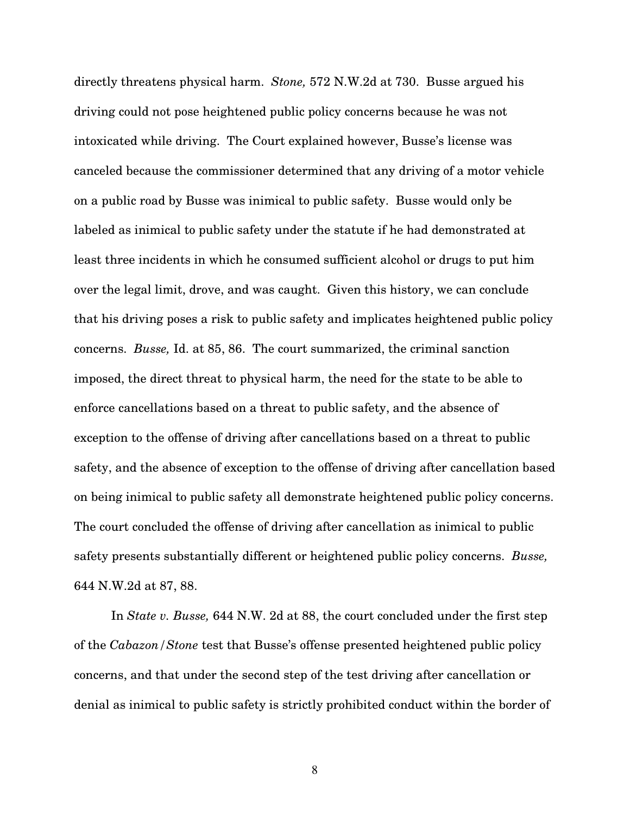directly threatens physical harm. *Stone,* 572 N.W.2d at 730. Busse argued his driving could not pose heightened public policy concerns because he was not intoxicated while driving. The Court explained however, Busse's license was canceled because the commissioner determined that any driving of a motor vehicle on a public road by Busse was inimical to public safety. Busse would only be labeled as inimical to public safety under the statute if he had demonstrated at least three incidents in which he consumed sufficient alcohol or drugs to put him over the legal limit, drove, and was caught. Given this history, we can conclude that his driving poses a risk to public safety and implicates heightened public policy concerns. *Busse,* Id. at 85, 86. The court summarized, the criminal sanction imposed, the direct threat to physical harm, the need for the state to be able to enforce cancellations based on a threat to public safety, and the absence of exception to the offense of driving after cancellations based on a threat to public safety, and the absence of exception to the offense of driving after cancellation based on being inimical to public safety all demonstrate heightened public policy concerns. The court concluded the offense of driving after cancellation as inimical to public safety presents substantially different or heightened public policy concerns. *Busse,* 644 N.W.2d at 87, 88.

In *State v. Busse,* 644 N.W. 2d at 88, the court concluded under the first step of the *Cabazon/Stone* test that Busse's offense presented heightened public policy concerns, and that under the second step of the test driving after cancellation or denial as inimical to public safety is strictly prohibited conduct within the border of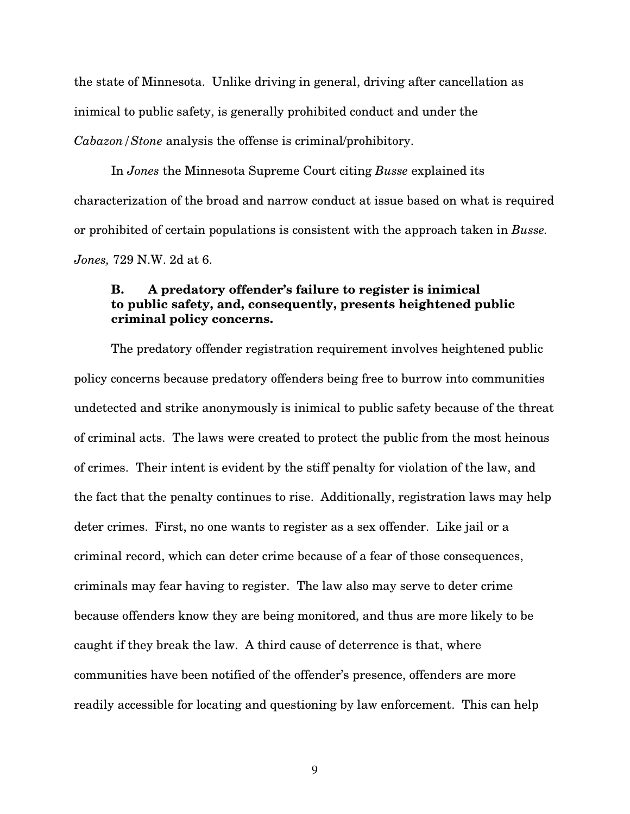the state of Minnesota. Unlike driving in general, driving after cancellation as inimical to public safety, is generally prohibited conduct and under the *Cabazon/Stone* analysis the offense is criminal/prohibitory.

In *Jones* the Minnesota Supreme Court citing *Busse* explained its characterization of the broad and narrow conduct at issue based on what is required or prohibited of certain populations is consistent with the approach taken in *Busse. Jones,* 729 N.W. 2d at 6.

## **B. A predatory offender's failure to register is inimical to public safety, and, consequently, presents heightened public criminal policy concerns.**

The predatory offender registration requirement involves heightened public policy concerns because predatory offenders being free to burrow into communities undetected and strike anonymously is inimical to public safety because of the threat of criminal acts. The laws were created to protect the public from the most heinous of crimes. Their intent is evident by the stiff penalty for violation of the law, and the fact that the penalty continues to rise. Additionally, registration laws may help deter crimes. First, no one wants to register as a sex offender. Like jail or a criminal record, which can deter crime because of a fear of those consequences, criminals may fear having to register. The law also may serve to deter crime because offenders know they are being monitored, and thus are more likely to be caught if they break the law. A third cause of deterrence is that, where communities have been notified of the offender's presence, offenders are more readily accessible for locating and questioning by law enforcement. This can help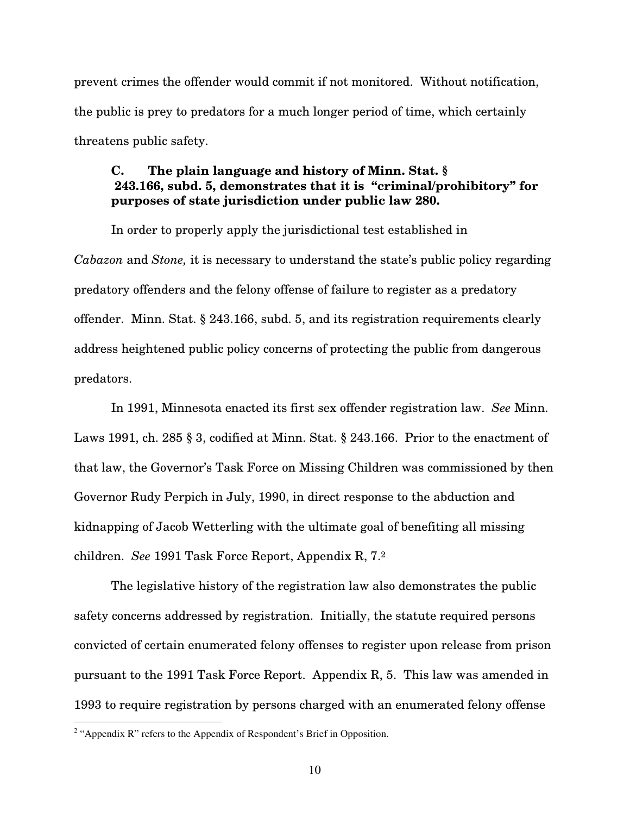prevent crimes the offender would commit if not monitored. Without notification, the public is prey to predators for a much longer period of time, which certainly threatens public safety.

# **C. The plain language and history of Minn. Stat. § 243.166, subd. 5, demonstrates that it is "criminal/prohibitory" for purposes of state jurisdiction under public law 280.**

In order to properly apply the jurisdictional test established in *Cabazon* and *Stone,* it is necessary to understand the state's public policy regarding predatory offenders and the felony offense of failure to register as a predatory offender. Minn. Stat. § 243.166, subd. 5, and its registration requirements clearly address heightened public policy concerns of protecting the public from dangerous predators.

In 1991, Minnesota enacted its first sex offender registration law. *See* Minn. Laws 1991, ch. 285 § 3, codified at Minn. Stat. § 243.166. Prior to the enactment of that law, the Governor's Task Force on Missing Children was commissioned by then Governor Rudy Perpich in July, 1990, in direct response to the abduction and kidnapping of Jacob Wetterling with the ultimate goal of benefiting all missing children. *See* 1991 Task Force Report, Appendix R, 7. 2

The legislative history of the registration law also demonstrates the public safety concerns addressed by registration. Initially, the statute required persons convicted of certain enumerated felony offenses to register upon release from prison pursuant to the 1991 Task Force Report. Appendix R, 5. This law was amended in 1993 to require registration by persons charged with an enumerated felony offense

<sup>&</sup>lt;sup>2</sup> "Appendix R" refers to the Appendix of Respondent's Brief in Opposition.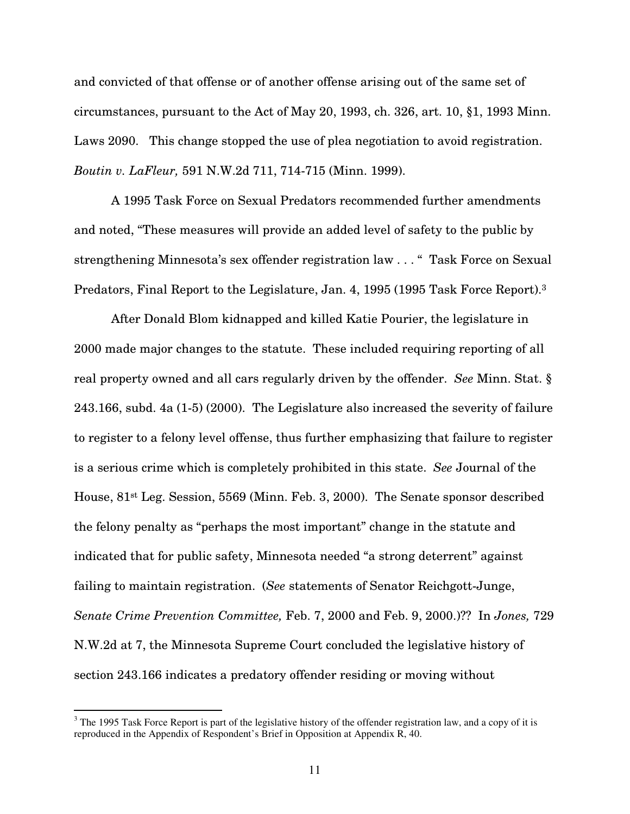and convicted of that offense or of another offense arising out of the same set of circumstances, pursuant to the Act of May 20, 1993, ch. 326, art. 10, §1, 1993 Minn. Laws 2090. This change stopped the use of plea negotiation to avoid registration. *Boutin v. LaFleur,* 591 N.W.2d 711, 714-715 (Minn. 1999).

A 1995 Task Force on Sexual Predators recommended further amendments and noted, "These measures will provide an added level of safety to the public by strengthening Minnesota's sex offender registration law . . . " Task Force on Sexual Predators, Final Report to the Legislature, Jan. 4, 1995 (1995 Task Force Report). 3

After Donald Blom kidnapped and killed Katie Pourier, the legislature in 2000 made major changes to the statute. These included requiring reporting of all real property owned and all cars regularly driven by the offender. *See* Minn. Stat. § 243.166, subd. 4a (1-5) (2000). The Legislature also increased the severity of failure to register to a felony level offense, thus further emphasizing that failure to register is a serious crime which is completely prohibited in this state. *See* Journal of the House, 81st Leg. Session, 5569 (Minn. Feb. 3, 2000). The Senate sponsor described the felony penalty as "perhaps the most important" change in the statute and indicated that for public safety, Minnesota needed "a strong deterrent" against failing to maintain registration. (*See* statements of Senator Reichgott-Junge, *Senate Crime Prevention Committee,* Feb. 7, 2000 and Feb. 9, 2000.)?? In *Jones,* 729 N.W.2d at 7, the Minnesota Supreme Court concluded the legislative history of section 243.166 indicates a predatory offender residing or moving without

 $3$  The 1995 Task Force Report is part of the legislative history of the offender registration law, and a copy of it is reproduced in the Appendix of Respondent's Brief in Opposition at Appendix R, 40.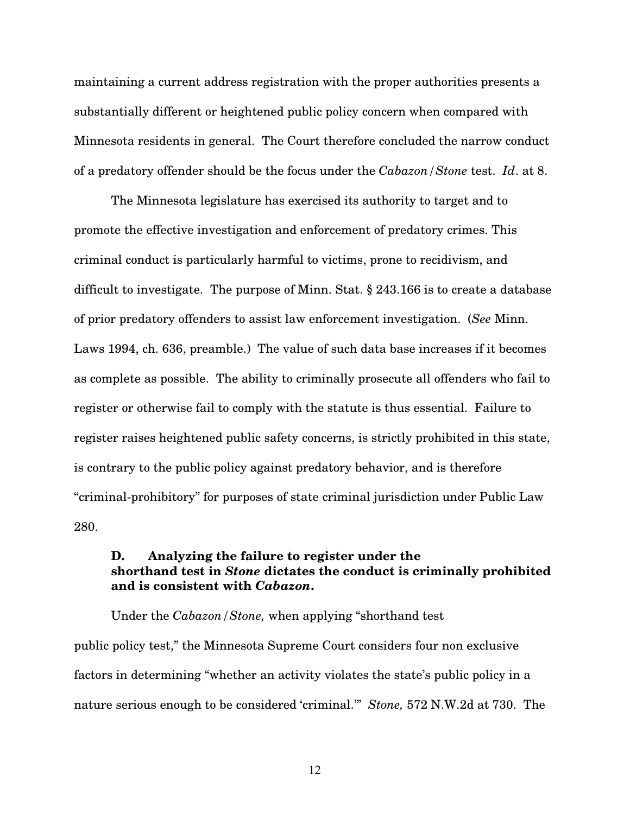maintaining a current address registration with the proper authorities presents a substantially different or heightened public policy concern when compared with Minnesota residents in general. The Court therefore concluded the narrow conduct of a predatory offender should be the focus under the *Cabazon/Stone* test. *Id*. at 8.

The Minnesota legislature has exercised its authority to target and to promote the effective investigation and enforcement of predatory crimes. This criminal conduct is particularly harmful to victims, prone to recidivism, and difficult to investigate. The purpose of Minn. Stat. § 243.166 is to create a database of prior predatory offenders to assist law enforcement investigation. (*See* Minn. Laws 1994, ch. 636, preamble.) The value of such data base increases if it becomes as complete as possible. The ability to criminally prosecute all offenders who fail to register or otherwise fail to comply with the statute is thus essential. Failure to register raises heightened public safety concerns, is strictly prohibited in this state, is contrary to the public policy against predatory behavior, and is therefore "criminal-prohibitory" for purposes of state criminal jurisdiction under Public Law 280.

## **D. Analyzing the failure to register under the shorthand test in** *Stone* **dictates the conduct is criminally prohibited and is consistent with** *Cabazon***.**

Under the *Cabazon/Stone,* when applying "shorthand test public policy test," the Minnesota Supreme Court considers four non exclusive factors in determining "whether an activity violates the state's public policy in a nature serious enough to be considered 'criminal.'" *Stone,* 572 N.W.2d at 730. The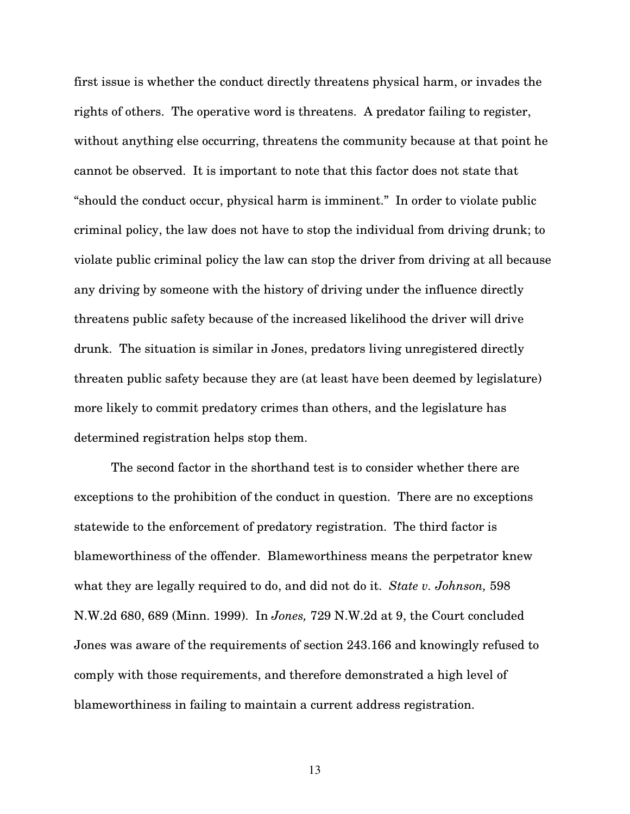first issue is whether the conduct directly threatens physical harm, or invades the rights of others. The operative word is threatens. A predator failing to register, without anything else occurring, threatens the community because at that point he cannot be observed. It is important to note that this factor does not state that "should the conduct occur, physical harm is imminent." In order to violate public criminal policy, the law does not have to stop the individual from driving drunk; to violate public criminal policy the law can stop the driver from driving at all because any driving by someone with the history of driving under the influence directly threatens public safety because of the increased likelihood the driver will drive drunk. The situation is similar in Jones, predators living unregistered directly threaten public safety because they are (at least have been deemed by legislature) more likely to commit predatory crimes than others, and the legislature has determined registration helps stop them.

The second factor in the shorthand test is to consider whether there are exceptions to the prohibition of the conduct in question. There are no exceptions statewide to the enforcement of predatory registration. The third factor is blameworthiness of the offender. Blameworthiness means the perpetrator knew what they are legally required to do, and did not do it. *State v. Johnson,* 598 N.W.2d 680, 689 (Minn. 1999). In *Jones,* 729 N.W.2d at 9, the Court concluded Jones was aware of the requirements of section 243.166 and knowingly refused to comply with those requirements, and therefore demonstrated a high level of blameworthiness in failing to maintain a current address registration.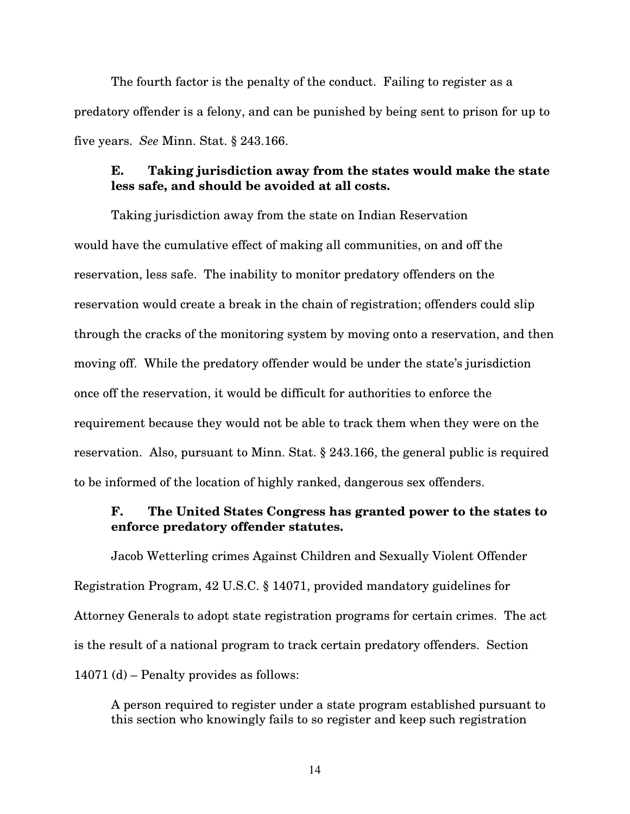The fourth factor is the penalty of the conduct. Failing to register as a predatory offender is a felony, and can be punished by being sent to prison for up to five years. *See* Minn. Stat. § 243.166.

### **E. Taking jurisdiction away from the states would make the state less safe, and should be avoided at all costs.**

Taking jurisdiction away from the state on Indian Reservation would have the cumulative effect of making all communities, on and off the reservation, less safe. The inability to monitor predatory offenders on the reservation would create a break in the chain of registration; offenders could slip through the cracks of the monitoring system by moving onto a reservation, and then moving off. While the predatory offender would be under the state's jurisdiction once off the reservation, it would be difficult for authorities to enforce the requirement because they would not be able to track them when they were on the reservation. Also, pursuant to Minn. Stat. § 243.166, the general public is required to be informed of the location of highly ranked, dangerous sex offenders.

## **F. The United States Congress has granted power to the states to enforce predatory offender statutes.**

Jacob Wetterling crimes Against Children and Sexually Violent Offender Registration Program, 42 U.S.C. § 14071, provided mandatory guidelines for Attorney Generals to adopt state registration programs for certain crimes. The act is the result of a national program to track certain predatory offenders. Section 14071 (d) – Penalty provides as follows:

A person required to register under a state program established pursuant to this section who knowingly fails to so register and keep such registration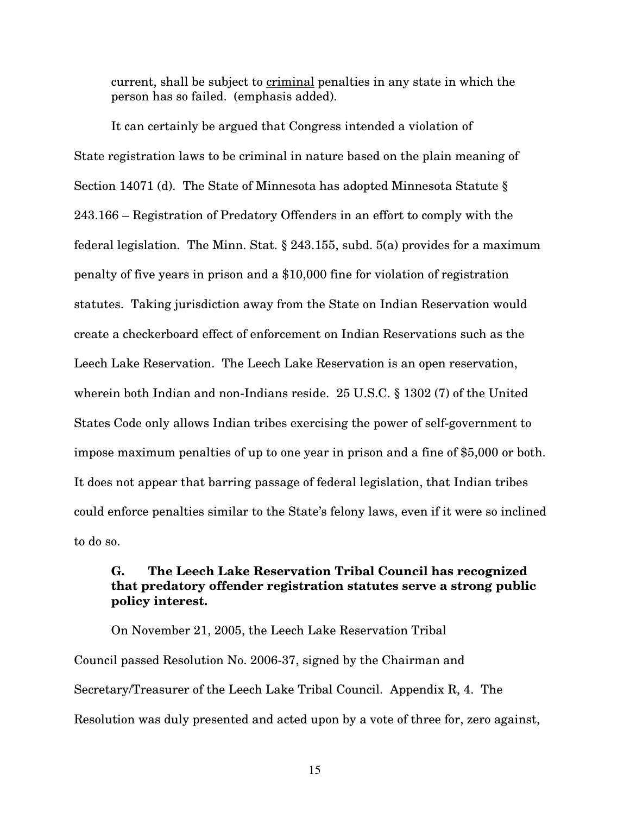current, shall be subject to criminal penalties in any state in which the person has so failed. (emphasis added).

It can certainly be argued that Congress intended a violation of State registration laws to be criminal in nature based on the plain meaning of Section 14071 (d). The State of Minnesota has adopted Minnesota Statute § 243.166 – Registration of Predatory Offenders in an effort to comply with the federal legislation. The Minn. Stat. § 243.155, subd. 5(a) provides for a maximum penalty of five years in prison and a \$10,000 fine for violation of registration statutes. Taking jurisdiction away from the State on Indian Reservation would create a checkerboard effect of enforcement on Indian Reservations such as the Leech Lake Reservation. The Leech Lake Reservation is an open reservation, wherein both Indian and non-Indians reside. 25 U.S.C. § 1302 (7) of the United States Code only allows Indian tribes exercising the power of self-government to impose maximum penalties of up to one year in prison and a fine of \$5,000 or both. It does not appear that barring passage of federal legislation, that Indian tribes could enforce penalties similar to the State's felony laws, even if it were so inclined to do so.

# **G. The Leech Lake Reservation Tribal Council has recognized that predatory offender registration statutes serve a strong public policy interest.**

On November 21, 2005, the Leech Lake Reservation Tribal Council passed Resolution No. 2006-37, signed by the Chairman and Secretary/Treasurer of the Leech Lake Tribal Council. Appendix R, 4. The Resolution was duly presented and acted upon by a vote of three for, zero against,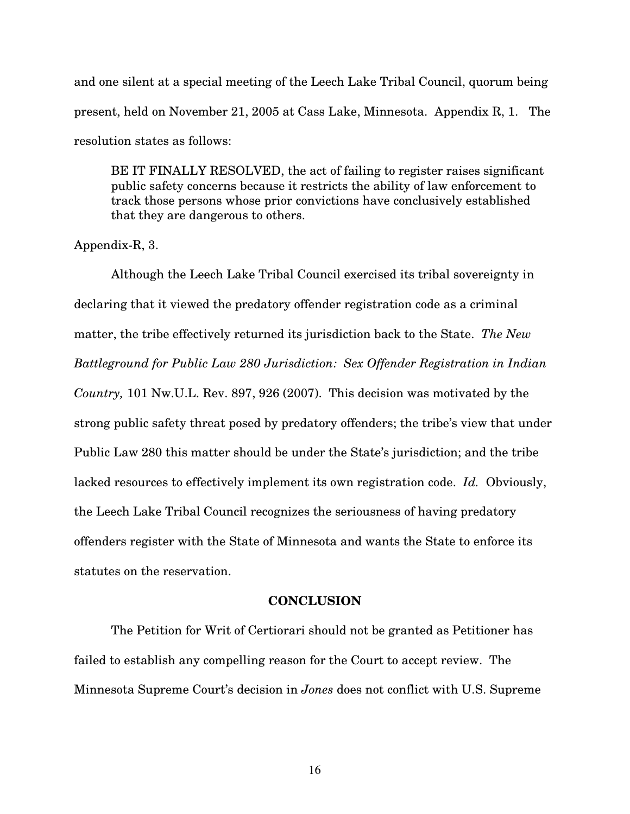and one silent at a special meeting of the Leech Lake Tribal Council, quorum being present, held on November 21, 2005 at Cass Lake, Minnesota. Appendix R, 1. The resolution states as follows:

BE IT FINALLY RESOLVED, the act of failing to register raises significant public safety concerns because it restricts the ability of law enforcement to track those persons whose prior convictions have conclusively established that they are dangerous to others.

Appendix-R, 3.

Although the Leech Lake Tribal Council exercised its tribal sovereignty in declaring that it viewed the predatory offender registration code as a criminal matter, the tribe effectively returned its jurisdiction back to the State. *The New Battleground for Public Law 280 Jurisdiction: Sex Offender Registration in Indian Country,* 101 Nw.U.L. Rev. 897, 926 (2007). This decision was motivated by the strong public safety threat posed by predatory offenders; the tribe's view that under Public Law 280 this matter should be under the State's jurisdiction; and the tribe lacked resources to effectively implement its own registration code. *Id.* Obviously, the Leech Lake Tribal Council recognizes the seriousness of having predatory offenders register with the State of Minnesota and wants the State to enforce its statutes on the reservation.

#### **CONCLUSION**

The Petition for Writ of Certiorari should not be granted as Petitioner has failed to establish any compelling reason for the Court to accept review. The Minnesota Supreme Court's decision in *Jones* does not conflict with U.S. Supreme